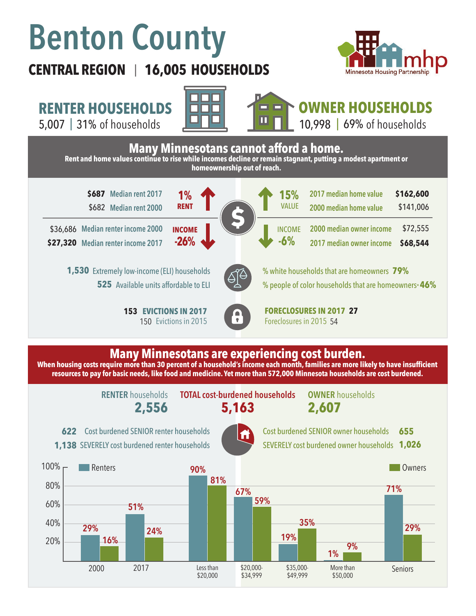# **Benton County**

# **CENTRAL REGION 16,005 HOUSEHOLDS**  |



\$141,006

\$72,555 **\$68,544**

**RENTER HOUSEHOLDS**

5,007 | of households 31% 69%



**1%**

**RENT**

**-26%**

**INCOME**



**Many Minnesotans cannot afford a home. Rent and home values continue to rise while incomes decline or remain stagnant, putting a modest apartment or homeownership out of reach.**

**\$687 \$162,600 Median rent 2017**  \$682 **Median rent 2000**

**Median renter income 2000**  \$36,686 **Median renter income 2017 \$27,320**

> 1,530 Extremely low-income (ELI) households 525 Available units affordable to ELI

> > **153 EVICTIONS IN 2017** 150 Evictions in 2015



% white households that are homeowners **79%** % people of color households that are homeowners\* **46%**

**2000 median owner income 2017 median owner income** 

**2017 median home value 2000 median home value** 

**EVICTIONS IN 2017 FORECLOSURES IN 2017 27** Foreclosures in 2015 54

**15%**

VALUE

**-6%**

INCOME

### **Many Minnesotans are experiencing cost burden.**

**When housing costs require more than 30 percent of a household's income each month, families are more likely to have insufficient resources to pay for basic needs, like food and medicine. Yet more than 572,000 Minnesota households are cost burdened.**